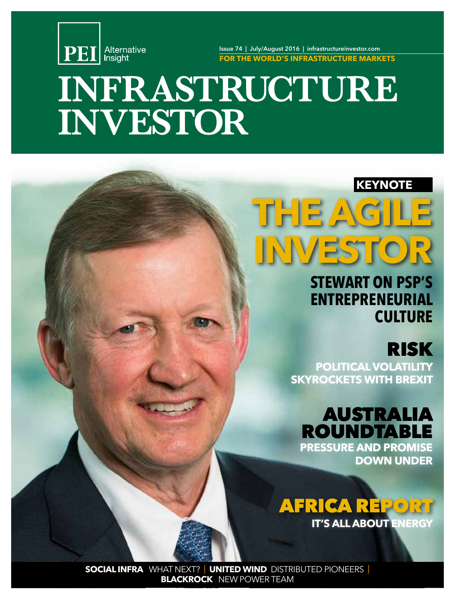

Issue 74 | July/August 2016 | infrastructureinvestor.com **FOR THE WORLD'S INFRASTRUCTURE MARKETS**

# INFRASTRUCTURE **INVESTOR**

### **KEYNOTE**

# **THE AGILE INVESTOR**

# **STEWART ON PSP'S ENTREPRENEURIAL CULTURE**

# RISK

**POLITICAL VOLATILITY SKYROCKETS WITH BREXIT**

### AUSTRALIA ROUNDTABLE **PRESSURE AND PROMISE**

**DOWN UNDER**



**SOCIAL INFRA** WHAT NEXT? | **UNITED WIND** DISTRIBUTED PIONEERS| **BLACKROCK** NEW POWER TEAM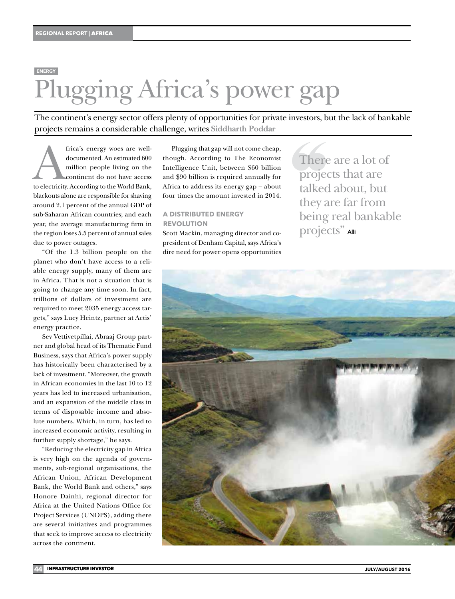# Plugging Africa's power gap **ENERGY**

The continent's energy sector offers plenty of opportunities for private investors, but the lack of bankable projects remains a considerable challenge, writes **Siddharth Poddar**

frica's energy woes are well-<br>documented. An estimated 600<br>million people living on the<br>continent do not have access<br>to electricity. According to the World Bank, documented. An estimated 600 million people living on the continent do not have access blackouts alone are responsible for shaving around 2.1 percent of the annual GDP of sub-Saharan African countries; and each year, the average manufacturing firm in the region loses 5.5 percent of annual sales due to power outages.

"Of the 1.3 billion people on the planet who don't have access to a reliable energy supply, many of them are in Africa. That is not a situation that is going to change any time soon. In fact, trillions of dollars of investment are required to meet 2035 energy access targets," says Lucy Heintz, partner at Actis' energy practice.

Sev Vettivetpillai, Abraaj Group partner and global head of its Thematic Fund Business, says that Africa's power supply has historically been characterised by a lack of investment. "Moreover, the growth in African economies in the last 10 to 12 years has led to increased urbanisation, and an expansion of the middle class in terms of disposable income and absolute numbers. Which, in turn, has led to increased economic activity, resulting in further supply shortage," he says.

"Reducing the electricity gap in Africa is very high on the agenda of governments, sub-regional organisations, the African Union, African Development Bank, the World Bank and others," says Honore Dainhi, regional director for Africa at the United Nations Office for Project Services (UNOPS), adding there are several initiatives and programmes that seek to improve access to electricity across the continent.

Plugging that gap will not come cheap, though. According to The Economist Intelligence Unit, between \$60 billion and \$90 billion is required annually for Africa to address its energy gap – about four times the amount invested in 2014.

#### **A DISTRIBUTED ENERGY REVOLUTION**

Scott Mackin, managing director and copresident of Denham Capital, says Africa's dire need for power opens opportunities

There are a lot of projects that are talked about, but they are far from being real bankable projects" Alli

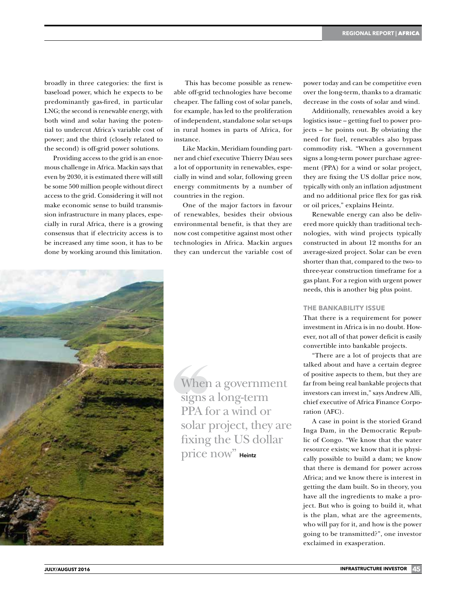broadly in three categories: the first is baseload power, which he expects to be predominantly gas-fired, in particular LNG; the second is renewable energy, with both wind and solar having the potential to undercut Africa's variable cost of power; and the third (closely related to the second) is off-grid power solutions.

Providing access to the grid is an enormous challenge in Africa. Mackin says that even by 2030, it is estimated there will still be some 500 million people without direct access to the grid. Considering it will not make economic sense to build transmission infrastructure in many places, especially in rural Africa, there is a growing consensus that if electricity access is to be increased any time soon, it has to be done by working around this limitation.

 This has become possible as renewable off-grid technologies have become cheaper. The falling cost of solar panels, for example, has led to the proliferation of independent, standalone solar set-ups in rural homes in parts of Africa, for instance.

Like Mackin, Meridiam founding partner and chief executive Thierry Déau sees a lot of opportunity in renewables, especially in wind and solar, following green energy commitments by a number of countries in the region.

One of the major factors in favour of renewables, besides their obvious environmental benefit, is that they are now cost competitive against most other technologies in Africa. Mackin argues they can undercut the variable cost of power today and can be competitive even over the long-term, thanks to a dramatic decrease in the costs of solar and wind.

Additionally, renewables avoid a key logistics issue – getting fuel to power projects – he points out. By obviating the need for fuel, renewables also bypass commodity risk. "When a government signs a long-term power purchase agreement (PPA) for a wind or solar project, they are fixing the US dollar price now, typically with only an inflation adjustment and no additional price flex for gas risk or oil prices," explains Heintz.

Renewable energy can also be delivered more quickly than traditional technologies, with wind projects typically constructed in about 12 months for an average-sized project. Solar can be even shorter than that, compared to the two- to three-year construction timeframe for a gas plant. For a region with urgent power needs, this is another big plus point.

#### **THE BANKABILITY ISSUE**

That there is a requirement for power investment in Africa is in no doubt. However, not all of that power deficit is easily convertible into bankable projects.

"There are a lot of projects that are talked about and have a certain degree of positive aspects to them, but they are far from being real bankable projects that investors can invest in," says Andrew Alli, chief executive of Africa Finance Corporation (AFC).

A case in point is the storied Grand Inga Dam, in the Democratic Republic of Congo. "We know that the water resource exists; we know that it is physically possible to build a dam; we know that there is demand for power across Africa; and we know there is interest in getting the dam built. So in theory, you have all the ingredients to make a project. But who is going to build it, what is the plan, what are the agreements, who will pay for it, and how is the power going to be transmitted?", one investor exclaimed in exasperation.



When a government signs a long-term PPA for a wind or solar project, they are fixing the US dollar price now" Heintz